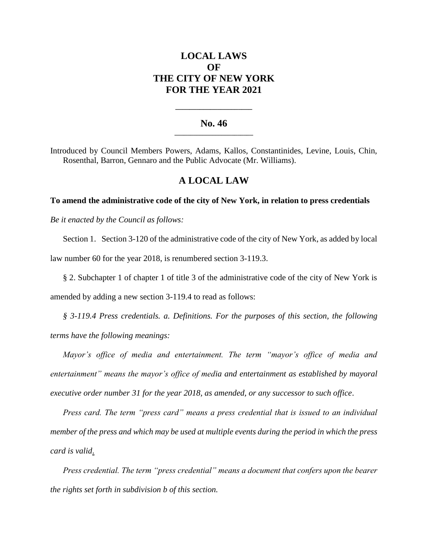# **LOCAL LAWS OF THE CITY OF NEW YORK FOR THE YEAR 2021**

### **No. 46 \_\_\_\_\_\_\_\_\_\_\_\_\_\_\_\_\_\_\_\_\_\_\_\_\_**

**\_\_\_\_\_\_\_\_\_\_\_\_\_\_\_\_\_\_\_\_\_\_**

Introduced by Council Members Powers, Adams, Kallos, Constantinides, Levine, Louis, Chin, Rosenthal, Barron, Gennaro and the Public Advocate (Mr. Williams).

## **A LOCAL LAW**

**To amend the administrative code of the city of New York, in relation to press credentials**

*Be it enacted by the Council as follows:*

Section 1. Section 3-120 of the administrative code of the city of New York, as added by local law number 60 for the year 2018, is renumbered section 3-119.3.

§ 2. Subchapter 1 of chapter 1 of title 3 of the administrative code of the city of New York is amended by adding a new section 3-119.4 to read as follows:

*§ 3-119.4 Press credentials. a. Definitions. For the purposes of this section, the following terms have the following meanings:*

*Mayor's office of media and entertainment. The term "mayor's office of media and entertainment" means the mayor's office of media and entertainment as established by mayoral executive order number 31 for the year 2018, as amended, or any successor to such office*.

*Press card. The term "press card" means a press credential that is issued to an individual member of the press and which may be used at multiple events during the period in which the press card is valid*.

*Press credential. The term "press credential" means a document that confers upon the bearer the rights set forth in subdivision b of this section.*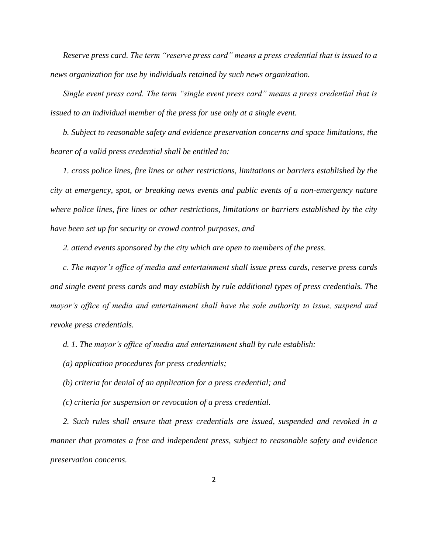*Reserve press card. The term "reserve press card" means a press credential that is issued to a news organization for use by individuals retained by such news organization.*

*Single event press card. The term "single event press card" means a press credential that is issued to an individual member of the press for use only at a single event.*

*b. Subject to reasonable safety and evidence preservation concerns and space limitations, the bearer of a valid press credential shall be entitled to:*

*1. cross police lines, fire lines or other restrictions, limitations or barriers established by the city at emergency, spot, or breaking news events and public events of a non-emergency nature where police lines, fire lines or other restrictions, limitations or barriers established by the city have been set up for security or crowd control purposes, and* 

*2. attend events sponsored by the city which are open to members of the press.*

*c. The mayor's office of media and entertainment shall issue press cards, reserve press cards and single event press cards and may establish by rule additional types of press credentials. The mayor's office of media and entertainment shall have the sole authority to issue, suspend and revoke press credentials.* 

*d. 1. The mayor's office of media and entertainment shall by rule establish:*

*(a) application procedures for press credentials;*

*(b) criteria for denial of an application for a press credential; and*

*(c) criteria for suspension or revocation of a press credential.*

*2. Such rules shall ensure that press credentials are issued, suspended and revoked in a manner that promotes a free and independent press, subject to reasonable safety and evidence preservation concerns.*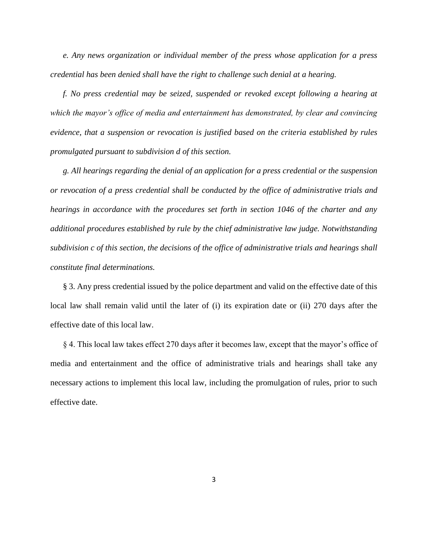*e. Any news organization or individual member of the press whose application for a press credential has been denied shall have the right to challenge such denial at a hearing.* 

*f. No press credential may be seized, suspended or revoked except following a hearing at which the mayor's office of media and entertainment has demonstrated, by clear and convincing evidence, that a suspension or revocation is justified based on the criteria established by rules promulgated pursuant to subdivision d of this section.* 

*g. All hearings regarding the denial of an application for a press credential or the suspension or revocation of a press credential shall be conducted by the office of administrative trials and hearings in accordance with the procedures set forth in section 1046 of the charter and any additional procedures established by rule by the chief administrative law judge. Notwithstanding subdivision c of this section, the decisions of the office of administrative trials and hearings shall constitute final determinations.*

§ 3. Any press credential issued by the police department and valid on the effective date of this local law shall remain valid until the later of (i) its expiration date or (ii) 270 days after the effective date of this local law.

§ 4. This local law takes effect 270 days after it becomes law, except that the mayor's office of media and entertainment and the office of administrative trials and hearings shall take any necessary actions to implement this local law, including the promulgation of rules, prior to such effective date.